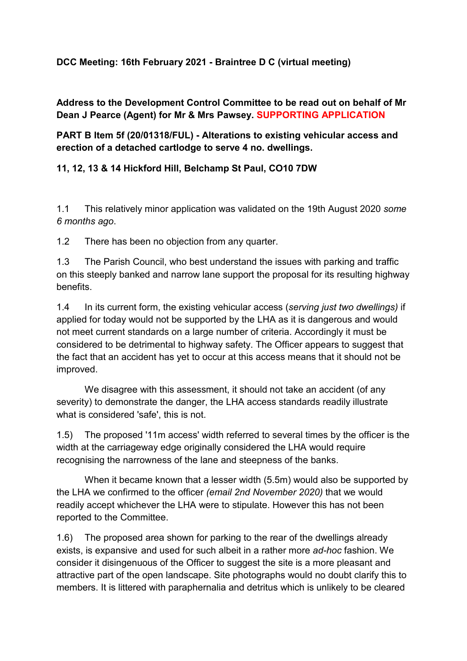## **DCC Meeting: 16th February 2021 - Braintree D C (virtual meeting)**

## **Address to the Development Control Committee to be read out on behalf of Mr Dean J Pearce (Agent) for Mr & Mrs Pawsey. SUPPORTING APPLICATION**

## **PART B Item 5f (20/01318/FUL) - Alterations to existing vehicular access and erection of a detached cartlodge to serve 4 no. dwellings.**

## **11, 12, 13 & 14 Hickford Hill, Belchamp St Paul, CO10 7DW**

1.1 This relatively minor application was validated on the 19th August 2020 *some 6 months ago*.

1.2 There has been no objection from any quarter.

1.3 The Parish Council, who best understand the issues with parking and traffic on this steeply banked and narrow lane support the proposal for its resulting highway benefits.

1.4 In its current form, the existing vehicular access (*serving just two dwellings)* if applied for today would not be supported by the LHA as it is dangerous and would not meet current standards on a large number of criteria. Accordingly it must be considered to be detrimental to highway safety. The Officer appears to suggest that the fact that an accident has yet to occur at this access means that it should not be improved.

We disagree with this assessment, it should not take an accident (of any severity) to demonstrate the danger, the LHA access standards readily illustrate what is considered 'safe', this is not.

1.5) The proposed '11m access' width referred to several times by the officer is the width at the carriageway edge originally considered the LHA would require recognising the narrowness of the lane and steepness of the banks.

When it became known that a lesser width (5.5m) would also be supported by the LHA we confirmed to the officer *(email 2nd November 2020)* that we would readily accept whichever the LHA were to stipulate. However this has not been reported to the Committee.

1.6) The proposed area shown for parking to the rear of the dwellings already exists, is expansive and used for such albeit in a rather more *ad-hoc* fashion. We consider it disingenuous of the Officer to suggest the site is a more pleasant and attractive part of the open landscape. Site photographs would no doubt clarify this to members. It is littered with paraphernalia and detritus which is unlikely to be cleared